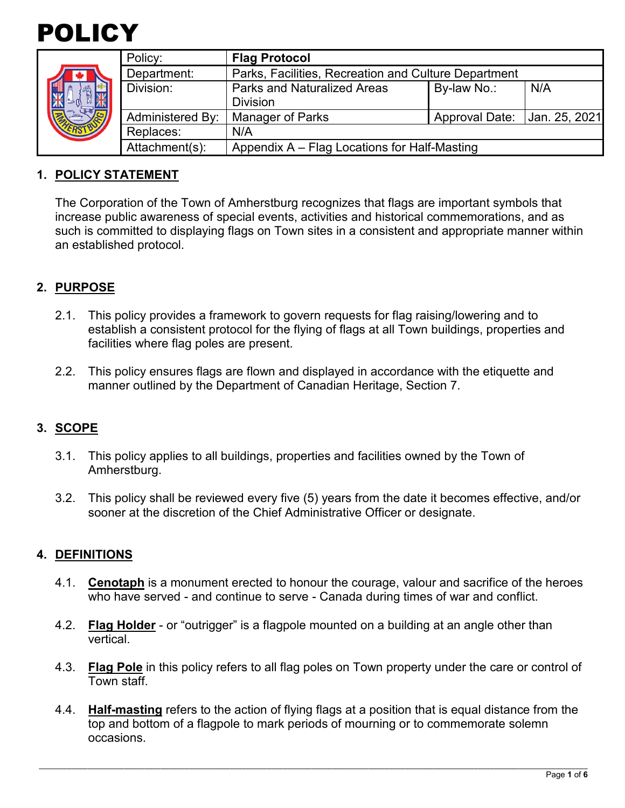



|  | Policy:                 | <b>Flag Protocol</b>                                 |                |               |  |  |
|--|-------------------------|------------------------------------------------------|----------------|---------------|--|--|
|  | Department:             | Parks, Facilities, Recreation and Culture Department |                |               |  |  |
|  | Division:               | <b>Parks and Naturalized Areas</b>                   | By-law No.:    | N/A           |  |  |
|  |                         | <b>Division</b>                                      |                |               |  |  |
|  | <b>Administered By:</b> | Manager of Parks                                     | Approval Date: | Jan. 25, 2021 |  |  |
|  | Replaces:               | N/A                                                  |                |               |  |  |
|  | Attachment(s):          | Appendix A – Flag Locations for Half-Masting         |                |               |  |  |

### **1. POLICY STATEMENT**

The Corporation of the Town of Amherstburg recognizes that flags are important symbols that increase public awareness of special events, activities and historical commemorations, and as such is committed to displaying flags on Town sites in a consistent and appropriate manner within an established protocol.

## **2. PURPOSE**

- 2.1. This policy provides a framework to govern requests for flag raising/lowering and to establish a consistent protocol for the flying of flags at all Town buildings, properties and facilities where flag poles are present.
- 2.2. This policy ensures flags are flown and displayed in accordance with the etiquette and manner outlined by the Department of Canadian Heritage, Section 7.

## **3. SCOPE**

- 3.1. This policy applies to all buildings, properties and facilities owned by the Town of Amherstburg.
- 3.2. This policy shall be reviewed every five (5) years from the date it becomes effective, and/or sooner at the discretion of the Chief Administrative Officer or designate.

#### **4. DEFINITIONS**

- 4.1. **Cenotaph** is a monument erected to honour the courage, valour and sacrifice of the heroes who have served - and continue to serve - Canada during times of war and conflict.
- 4.2. **Flag Holder** or "outrigger" is a flagpole mounted on a building at an angle other than vertical.
- 4.3. **Flag Pole** in this policy refers to all flag poles on Town property under the care or control of Town staff.
- 4.4. **Half-masting** refers to the action of flying flags at a position that is equal distance from the top and bottom of a flagpole to mark periods of mourning or to commemorate solemn occasions.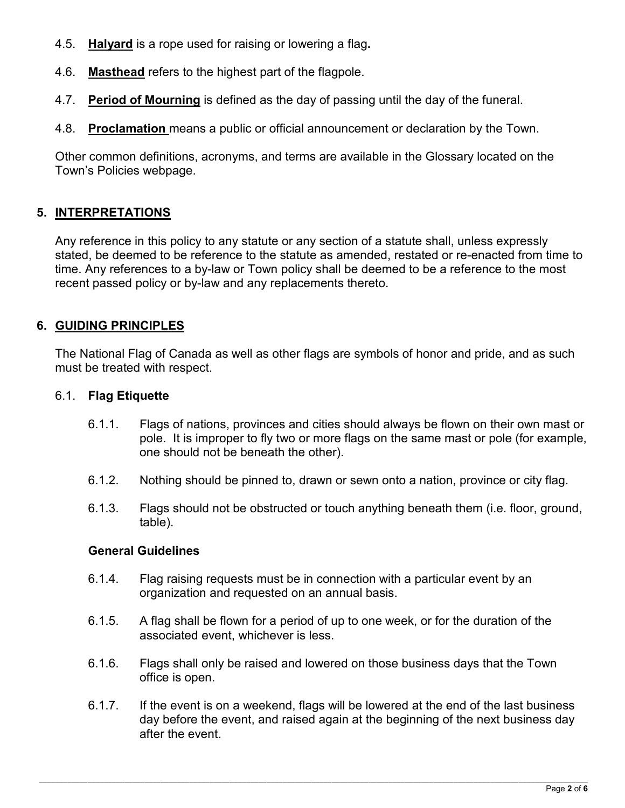- 4.5. **Halyard** is a rope used for raising or lowering a flag**.**
- 4.6. **Masthead** refers to the highest part of the flagpole.
- 4.7. **Period of Mourning** is defined as the day of passing until the day of the funeral.
- 4.8. **Proclamation** means a public or official announcement or declaration by the Town.

Other common definitions, acronyms, and terms are available in the Glossary located on the Town's Policies webpage.

## **5. INTERPRETATIONS**

Any reference in this policy to any statute or any section of a statute shall, unless expressly stated, be deemed to be reference to the statute as amended, restated or re-enacted from time to time. Any references to a by-law or Town policy shall be deemed to be a reference to the most recent passed policy or by-law and any replacements thereto.

### **6. GUIDING PRINCIPLES**

The National Flag of Canada as well as other flags are symbols of honor and pride, and as such must be treated with respect.

#### 6.1. **Flag Etiquette**

- 6.1.1. Flags of nations, provinces and cities should always be flown on their own mast or pole. It is improper to fly two or more flags on the same mast or pole (for example, one should not be beneath the other).
- 6.1.2. Nothing should be pinned to, drawn or sewn onto a nation, province or city flag.
- 6.1.3. Flags should not be obstructed or touch anything beneath them (i.e. floor, ground, table).

#### **General Guidelines**

- 6.1.4. Flag raising requests must be in connection with a particular event by an organization and requested on an annual basis.
- 6.1.5. A flag shall be flown for a period of up to one week, or for the duration of the associated event, whichever is less.
- 6.1.6. Flags shall only be raised and lowered on those business days that the Town office is open.
- 6.1.7. If the event is on a weekend, flags will be lowered at the end of the last business day before the event, and raised again at the beginning of the next business day after the event.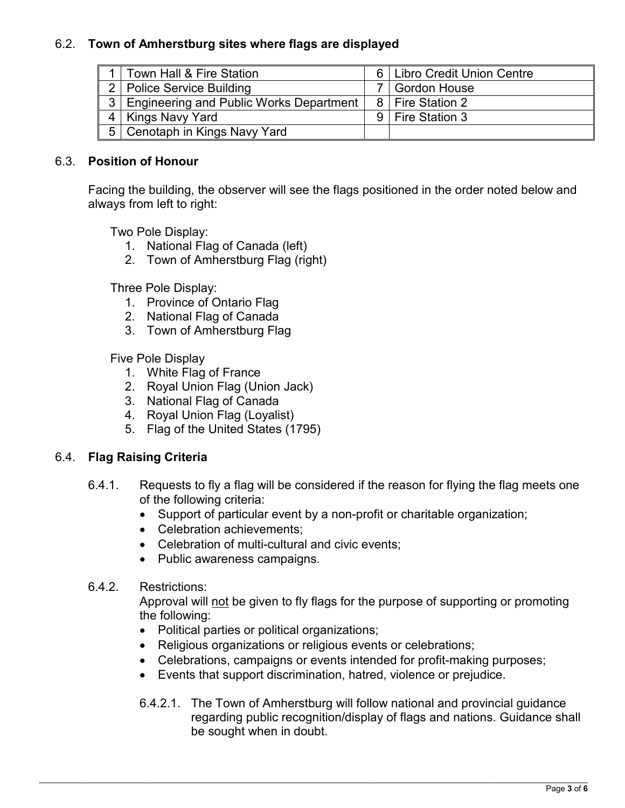## 6.2. **Town of Amherstburg sites where flags are displayed**

|                | Town Hall & Fire Station                |   | 6   Libro Credit Union Centre |
|----------------|-----------------------------------------|---|-------------------------------|
| $\mathcal{P}$  | <b>Police Service Building</b>          |   | <b>Gordon House</b>           |
| 3 <sup>1</sup> | Engineering and Public Works Department |   | 8   Fire Station 2            |
|                | Kings Navy Yard                         | 9 | Fire Station 3                |
|                | 5   Cenotaph in Kings Navy Yard         |   |                               |

#### 6.3. **Position of Honour**

Facing the building, the observer will see the flags positioned in the order noted below and always from left to right:

Two Pole Display:

- 1. National Flag of Canada (left)
- 2. Town of Amherstburg Flag (right)

Three Pole Display:

- 1. Province of Ontario Flag
- 2. National Flag of Canada
- 3. Town of Amherstburg Flag

Five Pole Display

- 1. White Flag of France
- 2. Royal Union Flag (Union Jack)
- 3. National Flag of Canada
- 4. Royal Union Flag (Loyalist)
- 5. Flag of the United States (1795)

#### 6.4. **Flag Raising Criteria**

- 6.4.1. Requests to fly a flag will be considered if the reason for flying the flag meets one of the following criteria:
	- Support of particular event by a non-profit or charitable organization;
	- Celebration achievements;
	- Celebration of multi-cultural and civic events;
	- Public awareness campaigns.

#### 6.4.2. Restrictions:

Approval will not be given to fly flags for the purpose of supporting or promoting the following:

- Political parties or political organizations;
- Religious organizations or religious events or celebrations;
- Celebrations, campaigns or events intended for profit-making purposes;
- Events that support discrimination, hatred, violence or prejudice.
- 6.4.2.1. The Town of Amherstburg will follow national and provincial guidance regarding public recognition/display of flags and nations. Guidance shall be sought when in doubt.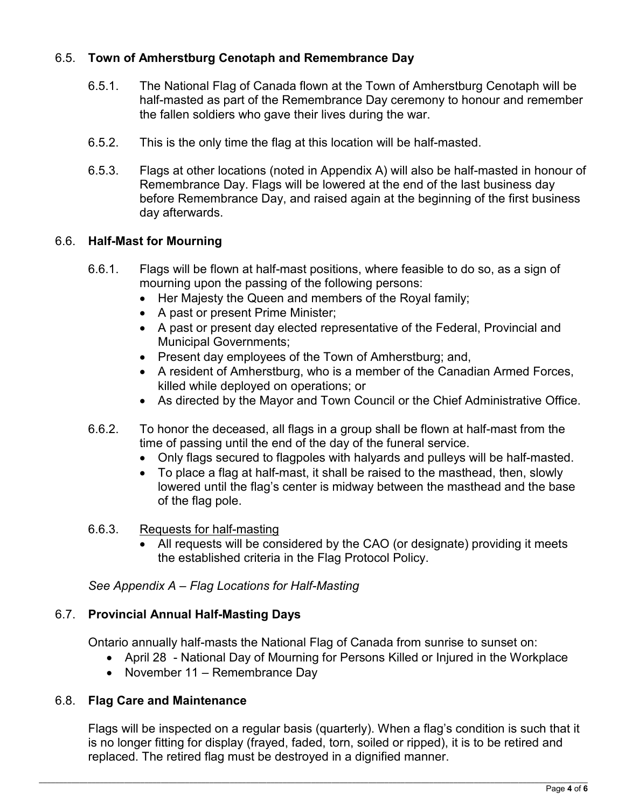## 6.5. **Town of Amherstburg Cenotaph and Remembrance Day**

- 6.5.1. The National Flag of Canada flown at the Town of Amherstburg Cenotaph will be half-masted as part of the Remembrance Day ceremony to honour and remember the fallen soldiers who gave their lives during the war.
- 6.5.2. This is the only time the flag at this location will be half-masted.
- 6.5.3. Flags at other locations (noted in Appendix A) will also be half-masted in honour of Remembrance Day. Flags will be lowered at the end of the last business day before Remembrance Day, and raised again at the beginning of the first business day afterwards.

### 6.6. **Half-Mast for Mourning**

- 6.6.1. Flags will be flown at half-mast positions, where feasible to do so, as a sign of mourning upon the passing of the following persons:
	- Her Majesty the Queen and members of the Royal family;
	- A past or present Prime Minister;
	- A past or present day elected representative of the Federal, Provincial and Municipal Governments;
	- Present day employees of the Town of Amherstburg; and,
	- A resident of Amherstburg, who is a member of the Canadian Armed Forces, killed while deployed on operations; or
	- As directed by the Mayor and Town Council or the Chief Administrative Office.
- 6.6.2. To honor the deceased, all flags in a group shall be flown at half-mast from the time of passing until the end of the day of the funeral service.
	- Only flags secured to flagpoles with halyards and pulleys will be half-masted.
	- To place a flag at half-mast, it shall be raised to the masthead, then, slowly lowered until the flag's center is midway between the masthead and the base of the flag pole.
- 6.6.3. Requests for half-masting
	- All requests will be considered by the CAO (or designate) providing it meets the established criteria in the Flag Protocol Policy.

*See Appendix A – Flag Locations for Half-Masting* 

## 6.7. **Provincial Annual Half-Masting Days**

Ontario annually half-masts the National Flag of Canada from sunrise to sunset on:

- April 28 National Day of Mourning for Persons Killed or Injured in the Workplace
- November 11 Remembrance Day

#### 6.8. **Flag Care and Maintenance**

Flags will be inspected on a regular basis (quarterly). When a flag's condition is such that it is no longer fitting for display (frayed, faded, torn, soiled or ripped), it is to be retired and replaced. The retired flag must be destroyed in a dignified manner.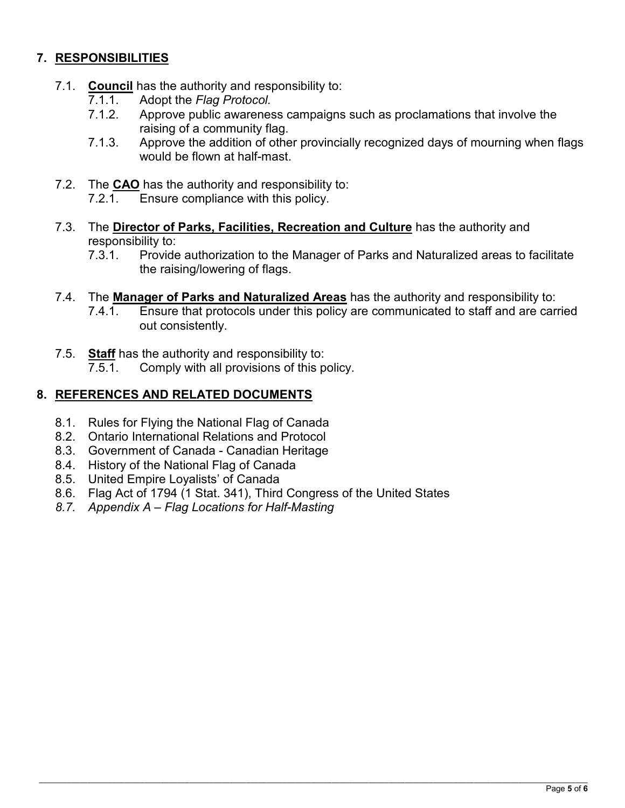# **7. RESPONSIBILITIES**

- 7.1. **Council** has the authority and responsibility to:
	- 7.1.1. Adopt the *Flag Protocol.*
	- 7.1.2. Approve public awareness campaigns such as proclamations that involve the raising of a community flag.
	- 7.1.3. Approve the addition of other provincially recognized days of mourning when flags would be flown at half-mast.
- 7.2. The **CAO** has the authority and responsibility to:<br>7.2.1 Finsure compliance with this policy
	- Ensure compliance with this policy.
- 7.3. The **Director of Parks, Facilities, Recreation and Culture** has the authority and responsibility to:
	- 7.3.1. Provide authorization to the Manager of Parks and Naturalized areas to facilitate the raising/lowering of flags.
- 7.4. The **Manager of Parks and Naturalized Areas** has the authority and responsibility to:
	- 7.4.1. Ensure that protocols under this policy are communicated to staff and are carried out consistently.
- 7.5. **Staff** has the authority and responsibility to:
	- 7.5.1. Comply with all provisions of this policy.

## **8. REFERENCES AND RELATED DOCUMENTS**

- 8.1. Rules for Flying the National Flag of Canada
- 8.2. Ontario International Relations and Protocol
- 8.3. Government of Canada Canadian Heritage
- 8.4. History of the National Flag of Canada
- 8.5. United Empire Loyalists' of Canada
- 8.6. Flag Act of 1794 (1 Stat. 341), Third Congress of the United States
- *8.7. Appendix A Flag Locations for Half-Masting*